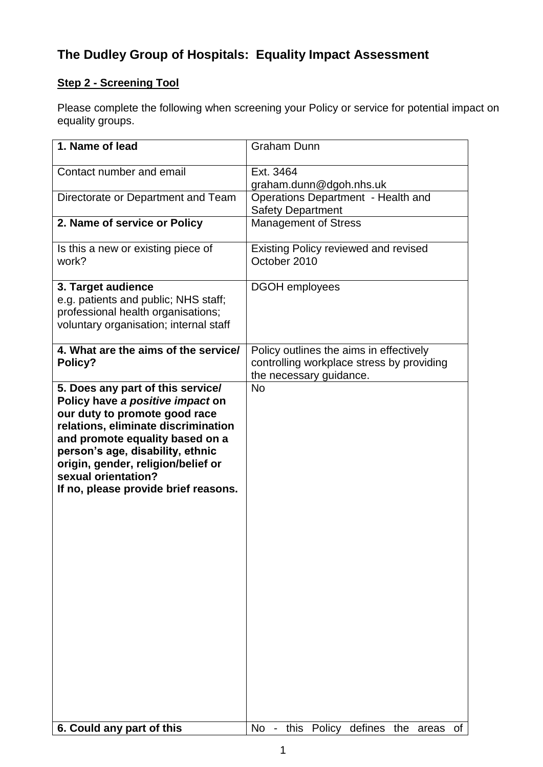## **The Dudley Group of Hospitals: Equality Impact Assessment**

## **Step 2 - Screening Tool**

Please complete the following when screening your Policy or service for potential impact on equality groups.

| 1. Name of lead                                                                                                                                                                                                                                                                                                           | <b>Graham Dunn</b>                                                                                              |
|---------------------------------------------------------------------------------------------------------------------------------------------------------------------------------------------------------------------------------------------------------------------------------------------------------------------------|-----------------------------------------------------------------------------------------------------------------|
| Contact number and email                                                                                                                                                                                                                                                                                                  | Ext. 3464<br>graham.dunn@dgoh.nhs.uk                                                                            |
| Directorate or Department and Team                                                                                                                                                                                                                                                                                        | Operations Department - Health and<br><b>Safety Department</b>                                                  |
| 2. Name of service or Policy                                                                                                                                                                                                                                                                                              | <b>Management of Stress</b>                                                                                     |
| Is this a new or existing piece of<br>work?                                                                                                                                                                                                                                                                               | <b>Existing Policy reviewed and revised</b><br>October 2010                                                     |
| 3. Target audience<br>e.g. patients and public; NHS staff;<br>professional health organisations;<br>voluntary organisation; internal staff                                                                                                                                                                                | <b>DGOH</b> employees                                                                                           |
| 4. What are the aims of the service/<br>Policy?                                                                                                                                                                                                                                                                           | Policy outlines the aims in effectively<br>controlling workplace stress by providing<br>the necessary guidance. |
| 5. Does any part of this service/<br>Policy have a positive impact on<br>our duty to promote good race<br>relations, eliminate discrimination<br>and promote equality based on a<br>person's age, disability, ethnic<br>origin, gender, religion/belief or<br>sexual orientation?<br>If no, please provide brief reasons. | <b>No</b>                                                                                                       |
| 6. Could any part of this                                                                                                                                                                                                                                                                                                 | No - this Policy defines the areas<br>of                                                                        |